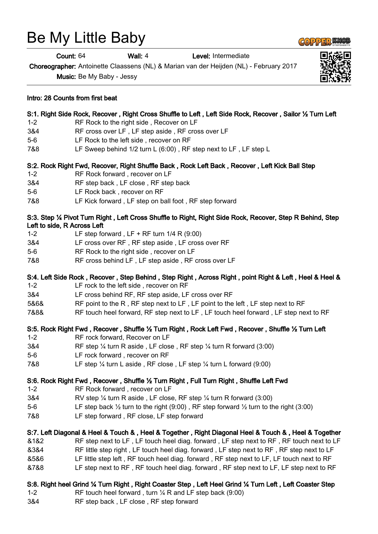# Be My Little Baby

Intro: 28 Counts from first beat

Count: 64 Wall: 4 Level: Intermediate

Choreographer: Antoinette Claassens (NL) & Marian van der Heijden (NL) - February 2017

S:1. Right Side Rock, Recover , Right Cross Shuffle to Left , Left Side Rock, Recover , Sailor ½ Turn Left

Music: Be My Baby - Jessy

| 7&8     | LF Sweep behind 1/2 turn L (6:00), RF step next to LF, LF step L                                                                          |
|---------|-------------------------------------------------------------------------------------------------------------------------------------------|
|         | S:2. Rock Right Fwd, Recover, Right Shuffle Back, Rock Left Back, Recover, Left Kick Ball Step                                            |
| $1 - 2$ | RF Rock forward, recover on LF                                                                                                            |
| 3&4     | RF step back, LF close, RF step back                                                                                                      |
| $5-6$   | LF Rock back, recover on RF                                                                                                               |
| 7&8     | LF Kick forward, LF step on ball foot, RF step forward                                                                                    |
|         | S:3. Step 1/4 Pivot Turn Right, Left Cross Shuffle to Right, Right Side Rock, Recover, Step R Behind, Step<br>Left to side, R Across Left |
| $1 - 2$ | LF step forward, LF + RF turn $1/4$ R (9:00)                                                                                              |
| 3&4     | LF cross over RF, RF step aside, LF cross over RF                                                                                         |
| $5-6$   | RF Rock to the right side, recover on LF                                                                                                  |
| 7&8     | RF cross behind LF, LF step aside, RF cross over LF                                                                                       |
|         | S:4. Left Side Rock, Recover, Step Behind, Step Right, Across Right, point Right & Left, Heel & Heel &                                    |
| $1 - 2$ | LF rock to the left side, recover on RF                                                                                                   |
| 3&4     | LF cross behind RF, RF step aside, LF cross over RF                                                                                       |
| 5&6&    | RF point to the R, RF step next to LF, LF point to the left, LF step next to RF                                                           |
| 7&8&    | RF touch heel forward, RF step next to LF, LF touch heel forward, LF step next to RF                                                      |
|         |                                                                                                                                           |

#### S:5. Rock Right Fwd , Recover , Shuffle ½ Turn Right , Rock Left Fwd , Recover , Shuffle ½ Turn Left

- 1-2 RF rock forward, Recover on LF
- 3&4 RF step ¼ turn R aside , LF close , RF step ¼ turn R forward (3:00)
- 5-6 LF rock forward , recover on RF
- 7&8 LF step ¼ turn L aside , RF close , LF step ¼ turn L forward (9:00)

#### S:6. Rock Right Fwd , Recover , Shuffle ½ Turn Right , Full Turn Right , Shuffle Left Fwd

- 1-2 RF Rock forward , recover on LF
- 3&4 RV step ¼ turn R aside , LF close, RF step ¼ turn R forward (3:00)
- 5-6 LF step back  $\frac{1}{2}$  turn to the right (9:00), RF step forward  $\frac{1}{2}$  turn to the right (3:00)
- 7&8 LF step forward , RF close, LF step forward

## S:7. Left Diagonal & Heel & Touch & , Heel & Together , Right Diagonal Heel & Touch & , Heel & Together

&1&2 RF step next to LF , LF touch heel diag. forward , LF step next to RF , RF touch next to LF

- &3&4 RF little step right , LF touch heel diag. forward , LF step next to RF , RF step next to LF
- &5&6 LF little step left , RF touch heel diag. forward , RF step next to LF, LF touch next to RF
- &7&8 LF step next to RF , RF touch heel diag. forward , RF step next to LF, LF step next to RF

## S:8. Right heel Grind ¼ Turn Right , Right Coaster Step , Left Heel Grind ¼ Turn Left , Left Coaster Step

- 1-2 RF touch heel forward , turn ¼ R and LF step back (9:00)
- 3&4 RF step back , LF close , RF step forward





1-2 RF Rock to the right side , Recover on LF

5-6 LF Rock to the left side , recover on RF

3&4 RF cross over LF , LF step aside , RF cross over LF